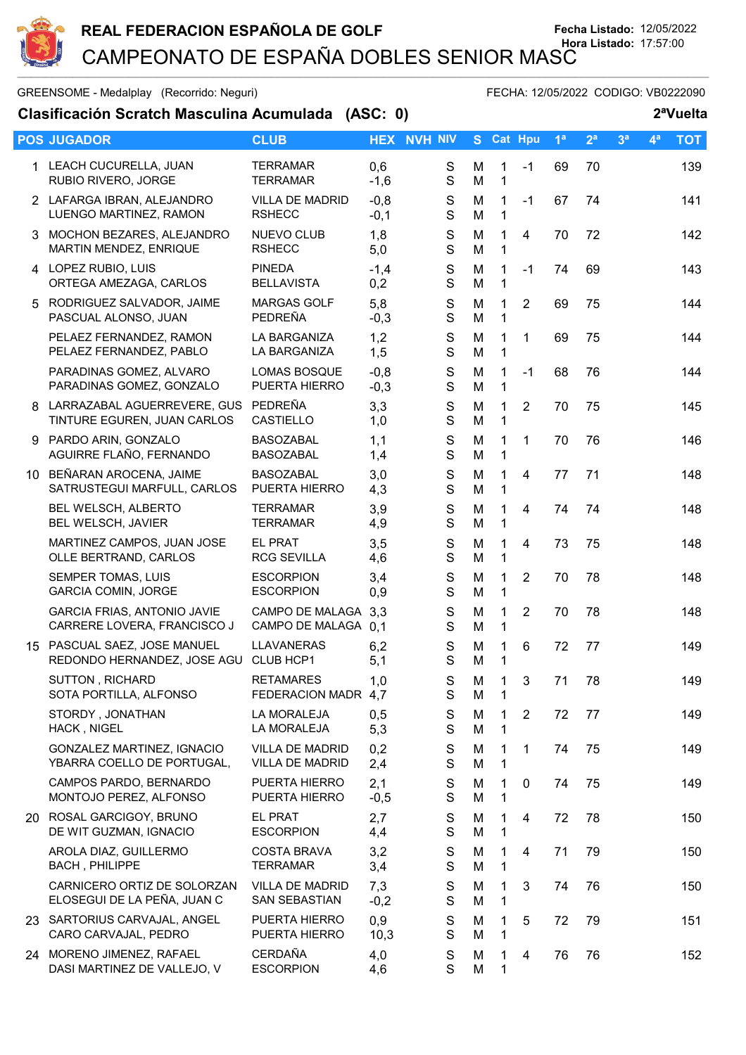

GREENSOME - Medalplay (Recorrido: Neguri) GREENSOME - FECHA: 12/05/2022 CODIGO: VB0222090

**Clasificación Scratch Masculina Acumulada (ASC: 0) 2ªVuelta**

|    | <b>POS JUGADOR</b>                                                 | <b>CLUB</b>                                      |                  | <b>HEX NVH NIV</b>           |        | S Cat Hpu                    |                | 1 <sup>a</sup> | 2 <sup>a</sup> | 3 <sup>a</sup> | 4 <sup>a</sup> | <b>TOT</b> |
|----|--------------------------------------------------------------------|--------------------------------------------------|------------------|------------------------------|--------|------------------------------|----------------|----------------|----------------|----------------|----------------|------------|
|    | 1 LEACH CUCURELLA, JUAN<br>RUBIO RIVERO, JORGE                     | <b>TERRAMAR</b><br><b>TERRAMAR</b>               | 0,6<br>$-1,6$    | $\mathbf S$<br>$\mathbf S$   | M<br>M | $\mathbf{1}$<br>$\mathbf{1}$ | $-1$           | 69             | 70             |                |                | 139        |
|    | 2 LAFARGA IBRAN, ALEJANDRO<br>LUENGO MARTINEZ, RAMON               | <b>VILLA DE MADRID</b><br><b>RSHECC</b>          | $-0,8$<br>$-0,1$ | S<br>$\mathbf S$             | M<br>M | $\mathbf{1}$<br>$\mathbf 1$  | $-1$           | 67             | 74             |                |                | 141        |
|    | 3 MOCHON BEZARES, ALEJANDRO<br>MARTIN MENDEZ, ENRIQUE              | <b>NUEVO CLUB</b><br><b>RSHECC</b>               | 1,8<br>5,0       | S<br>$\mathbf S$             | M<br>M | $\mathbf 1$<br>$\mathbf 1$   | $\overline{4}$ | 70             | 72             |                |                | 142        |
|    | 4 LOPEZ RUBIO, LUIS<br>ORTEGA AMEZAGA, CARLOS                      | <b>PINEDA</b><br><b>BELLAVISTA</b>               | $-1,4$<br>0,2    | S<br>S                       | M<br>M | $\mathbf{1}$<br>1            | $-1$           | 74             | 69             |                |                | 143        |
| 5. | RODRIGUEZ SALVADOR, JAIME<br>PASCUAL ALONSO, JUAN                  | <b>MARGAS GOLF</b><br>PEDREÑA                    | 5,8<br>$-0,3$    | S<br>$\mathbf S$             | M<br>M | 1<br>$\mathbf{1}$            | $\overline{2}$ | 69             | 75             |                |                | 144        |
|    | PELAEZ FERNANDEZ, RAMON<br>PELAEZ FERNANDEZ, PABLO                 | LA BARGANIZA<br>LA BARGANIZA                     | 1,2<br>1,5       | ${\mathsf S}$<br>$\mathbf S$ | M<br>M | $\mathbf{1}$<br>$\mathbf{1}$ | 1              | 69             | 75             |                |                | 144        |
|    | PARADINAS GOMEZ, ALVARO<br>PARADINAS GOMEZ, GONZALO                | <b>LOMAS BOSQUE</b><br>PUERTA HIERRO             | $-0,8$<br>$-0,3$ | S<br>$\mathbf S$             | M<br>M | 1<br>1                       | $-1$           | 68             | 76             |                |                | 144        |
| 8  | LARRAZABAL AGUERREVERE, GUS PEDREÑA<br>TINTURE EGUREN, JUAN CARLOS | CASTIELLO                                        | 3,3<br>1,0       | ${\mathsf S}$<br>$\mathbf S$ | M<br>M | $\mathbf 1$<br>$\mathbf{1}$  | $\overline{2}$ | 70             | 75             |                |                | 145        |
|    | 9 PARDO ARIN, GONZALO<br>AGUIRRE FLAÑO, FERNANDO                   | <b>BASOZABAL</b><br><b>BASOZABAL</b>             | 1,1<br>1,4       | $\mathbf S$<br>$\mathbf S$   | M<br>M | 1<br>1                       | 1              | 70             | 76             |                |                | 146        |
|    | 10 BEÑARAN AROCENA, JAIME<br>SATRUSTEGUI MARFULL, CARLOS           | <b>BASOZABAL</b><br>PUERTA HIERRO                | 3,0<br>4,3       | ${\mathsf S}$<br>$\mathbf S$ | M<br>M | $\mathbf{1}$<br>$\mathbf 1$  | $\overline{4}$ | 77             | 71             |                |                | 148        |
|    | BEL WELSCH, ALBERTO<br>BEL WELSCH, JAVIER                          | <b>TERRAMAR</b><br><b>TERRAMAR</b>               | 3,9<br>4,9       | S<br>S                       | M<br>M | 1<br>1                       | $\overline{4}$ | 74             | 74             |                |                | 148        |
|    | MARTINEZ CAMPOS, JUAN JOSE<br>OLLE BERTRAND, CARLOS                | EL PRAT<br><b>RCG SEVILLA</b>                    | 3,5<br>4,6       | $\mathsf S$<br>$\mathbf S$   | M<br>M | 1<br>$\mathbf 1$             | $\overline{4}$ | 73             | 75             |                |                | 148        |
|    | SEMPER TOMAS, LUIS<br><b>GARCIA COMIN, JORGE</b>                   | <b>ESCORPION</b><br><b>ESCORPION</b>             | 3,4<br>0,9       | $\mathsf S$<br>S             | M<br>M | 1<br>1                       | $\overline{2}$ | 70             | 78             |                |                | 148        |
|    | <b>GARCIA FRIAS, ANTONIO JAVIE</b><br>CARRERE LOVERA, FRANCISCO J  | CAMPO DE MALAGA 3.3<br>CAMPO DE MALAGA 0,1       |                  | $\mathsf S$<br>S             | M<br>M | 1<br>$\mathbf{1}$            | $\overline{2}$ | 70             | 78             |                |                | 148        |
|    | 15 PASCUAL SAEZ, JOSE MANUEL<br>REDONDO HERNANDEZ, JOSE AGU        | LLAVANERAS<br>CLUB HCP1                          | 6,2<br>5,1       | ${\mathsf S}$<br>S           | M<br>M | $\mathbf 1$<br>$\mathbf{1}$  | 6              | 72             | 77             |                |                | 149        |
|    | SUTTON, RICHARD<br>SOTA PORTILLA, ALFONSO                          | <b>RETAMARES</b><br>FEDERACION MADR 4,7          | 1,0              | S<br>S                       | М<br>M | $\mathbf{1}$<br>$\mathbf{1}$ | 3 <sup>7</sup> | 71             | 78             |                |                | 149        |
|    | STORDY, JONATHAN<br>HACK, NIGEL                                    | LA MORALEJA<br>LA MORALEJA                       | 0,5<br>5,3       | S<br>S                       | M<br>M | 1<br>$\mathbf 1$             | 2              | 72             | 77             |                |                | 149        |
|    | GONZALEZ MARTINEZ, IGNACIO<br>YBARRA COELLO DE PORTUGAL,           | <b>VILLA DE MADRID</b><br><b>VILLA DE MADRID</b> | 0,2<br>2,4       | S<br>$\mathsf S$             | M<br>M | 1<br>1                       | 1              | 74             | 75             |                |                | 149        |
|    | CAMPOS PARDO, BERNARDO<br>MONTOJO PEREZ, ALFONSO                   | PUERTA HIERRO<br>PUERTA HIERRO                   | 2,1<br>$-0,5$    | S<br>$\mathbf S$             | M<br>M | 1<br>$\mathbf 1$             | 0              | 74             | 75             |                |                | 149        |
|    | 20 ROSAL GARCIGOY, BRUNO<br>DE WIT GUZMAN, IGNACIO                 | <b>EL PRAT</b><br><b>ESCORPION</b>               | 2,7<br>4,4       | S<br>S                       | M<br>M | 1<br>1                       | 4              | 72             | 78             |                |                | 150        |
|    | AROLA DIAZ, GUILLERMO<br><b>BACH, PHILIPPE</b>                     | <b>COSTA BRAVA</b><br><b>TERRAMAR</b>            | 3,2<br>3,4       | $\mathbf S$<br>$\mathbf S$   | M<br>M | 1<br>$\mathbf 1$             | 4              | 71             | 79             |                |                | 150        |
|    | CARNICERO ORTIZ DE SOLORZAN<br>ELOSEGUI DE LA PEÑA, JUAN C         | <b>VILLA DE MADRID</b><br>SAN SEBASTIAN          | 7,3<br>$-0,2$    | ${\mathsf S}$<br>$\mathbf S$ | M<br>M | $\mathbf{1}$<br>1            | 3              | 74             | 76             |                |                | 150        |
|    | 23 SARTORIUS CARVAJAL, ANGEL<br>CARO CARVAJAL, PEDRO               | PUERTA HIERRO<br>PUERTA HIERRO                   | 0,9<br>10,3      | S<br>$\mathbf S$             | M<br>M | 1<br>$\mathbf 1$             | 5              | 72             | 79             |                |                | 151        |
|    | 24 MORENO JIMENEZ, RAFAEL<br>DASI MARTINEZ DE VALLEJO, V           | <b>CERDAÑA</b><br><b>ESCORPION</b>               | 4,0<br>4,6       | $\mathbf S$<br>$\mathbf S$   | M<br>M | 1<br>1                       | 4              | 76             | 76             |                |                | 152        |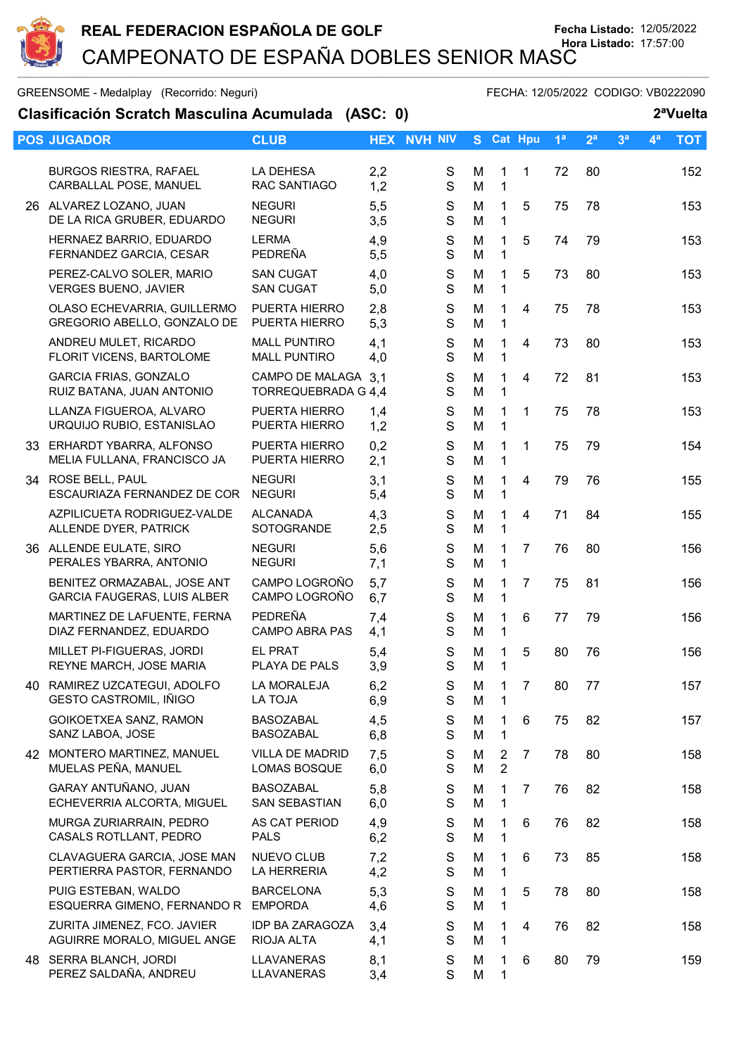

GREENSOME - Medalplay (Recorrido: Neguri) GREENSOME - FECHA: 12/05/2022 CODIGO: VB0222090

| Clasificación Scratch Masculina Acumulada (ASC: 0)         |                                            |            |                            |        |                                  |                |                |                |                |                | 2 <sup>a</sup> Vuelta |
|------------------------------------------------------------|--------------------------------------------|------------|----------------------------|--------|----------------------------------|----------------|----------------|----------------|----------------|----------------|-----------------------|
| <b>POS JUGADOR</b>                                         | <b>CLUB</b>                                |            | <b>HEX NVH NIV</b>         | S.     |                                  | Cat Hpu        | 1 <sup>a</sup> | 2 <sup>a</sup> | 3 <sup>a</sup> | 4 <sup>a</sup> | <b>TOT</b>            |
| <b>BURGOS RIESTRA, RAFAEL</b><br>CARBALLAL POSE, MANUEL    | LA DEHESA<br><b>RAC SANTIAGO</b>           | 2,2<br>1,2 | S<br>S                     | M<br>M | $\mathbf{1}$<br>1                | 1              | 72             | 80             |                |                | 152                   |
| 26 ALVAREZ LOZANO, JUAN<br>DE LA RICA GRUBER, EDUARDO      | <b>NEGURI</b><br><b>NEGURI</b>             | 5,5<br>3,5 | $\mathbb S$<br>S           | M<br>M | 1<br>1                           | 5              | 75             | 78             |                |                | 153                   |
| HERNAEZ BARRIO, EDUARDO<br>FERNANDEZ GARCIA, CESAR         | <b>LERMA</b><br>PEDREÑA                    | 4,9<br>5,5 | S<br>S                     | M<br>M | 1<br>1                           | 5              | 74             | 79             |                |                | 153                   |
| PEREZ-CALVO SOLER, MARIO<br><b>VERGES BUENO, JAVIER</b>    | <b>SAN CUGAT</b><br><b>SAN CUGAT</b>       | 4,0<br>5,0 | $\mathbf S$<br>S           | M<br>M | 1<br>1                           | 5              | 73             | 80             |                |                | 153                   |
| OLASO ECHEVARRIA, GUILLERMO<br>GREGORIO ABELLO, GONZALO DE | PUERTA HIERRO<br>PUERTA HIERRO             | 2,8<br>5,3 | S<br>S                     | M<br>M | $\mathbf{1}$<br>1                | 4              | 75             | 78             |                |                | 153                   |
| ANDREU MULET, RICARDO<br>FLORIT VICENS, BARTOLOME          | <b>MALL PUNTIRO</b><br><b>MALL PUNTIRO</b> | 4,1<br>4,0 | S<br>S                     | M<br>M | 1<br>1                           | 4              | 73             | 80             |                |                | 153                   |
| <b>GARCIA FRIAS, GONZALO</b><br>RUIZ BATANA, JUAN ANTONIO  | CAMPO DE MALAGA 3.1<br>TORREQUEBRADA G 4,4 |            | S<br>S                     | M<br>M | 1<br>1                           | 4              | 72             | 81             |                |                | 153                   |
| LLANZA FIGUEROA, ALVARO<br>URQUIJO RUBIO, ESTANISLAO       | PUERTA HIERRO<br>PUERTA HIERRO             | 1,4<br>1,2 | S<br>S                     | M<br>M | $\mathbf 1$<br>$\mathbf{1}$      | $\mathbf 1$    | 75             | 78             |                |                | 153                   |
| 33 ERHARDT YBARRA, ALFONSO<br>MELIA FULLANA, FRANCISCO JA  | PUERTA HIERRO<br>PUERTA HIERRO             | 0,2<br>2,1 | S<br>S                     | M<br>M | 1<br>1                           | $\mathbf{1}$   | 75             | 79             |                |                | 154                   |
| 34 ROSE BELL, PAUL<br>ESCAURIAZA FERNANDEZ DE COR          | <b>NEGURI</b><br><b>NEGURI</b>             | 3,1<br>5,4 | S<br>S                     | M<br>M | 1<br>$\mathbf{1}$                | 4              | 79             | 76             |                |                | 155                   |
| AZPILICUETA RODRIGUEZ-VALDE<br>ALLENDE DYER, PATRICK       | <b>ALCANADA</b><br>SOTOGRANDE              | 4,3<br>2,5 | $\mathbf S$<br>S           | M<br>M | 1<br>1                           | 4              | 71             | 84             |                |                | 155                   |
| 36 ALLENDE EULATE, SIRO<br>PERALES YBARRA, ANTONIO         | <b>NEGURI</b><br><b>NEGURI</b>             | 5,6<br>7,1 | S<br>S                     | M<br>M | 1.<br>1                          | $\overline{7}$ | 76             | 80             |                |                | 156                   |
| BENITEZ ORMAZABAL, JOSE ANT<br>GARCIA FAUGERAS, LUIS ALBER | CAMPO LOGROÑO<br>CAMPO LOGROÑO             | 5,7<br>6,7 | S<br>S                     | M<br>M | 1<br>$\mathbf{1}$                | $\overline{7}$ | 75             | 81             |                |                | 156                   |
| MARTINEZ DE LAFUENTE, FERNA<br>DIAZ FERNANDEZ, EDUARDO     | PEDREÑA<br><b>CAMPO ABRA PAS</b>           | 7,4<br>4,1 | S<br>S                     | M<br>M | $\mathbf{1}$<br>1                | 6              | 77             | 79             |                |                | 156                   |
| MILLET PI-FIGUERAS, JORDI<br>REYNE MARCH, JOSE MARIA       | <b>EL PRAT</b><br>PLAYA DE PALS            | 5,4<br>3,9 | S<br>$\mathbb S$           | M<br>M | 1<br>$\mathbf 1$                 | 5              | 80             | 76             |                |                | 156                   |
| 40 RAMIREZ UZCATEGUI, ADOLFO<br>GESTO CASTROMIL, IÑIGO     | LA MORALEJA<br>LA TOJA                     | 6,2<br>6,9 | S<br>S                     | M<br>M | 1<br>1                           | $\overline{7}$ | 80             | 77             |                |                | 157                   |
| GOIKOETXEA SANZ, RAMON<br>SANZ LABOA, JOSE                 | <b>BASOZABAL</b><br><b>BASOZABAL</b>       | 4,5<br>6,8 | S<br>S                     | M<br>M | 1<br>1                           | 6              | 75             | 82             |                |                | 157                   |
| 42 MONTERO MARTINEZ, MANUEL<br>MUELAS PEÑA, MANUEL         | <b>VILLA DE MADRID</b><br>LOMAS BOSQUE     | 7,5<br>6,0 | S<br>S                     | M<br>M | $\overline{2}$<br>$\overline{2}$ | $\overline{7}$ | 78             | 80             |                |                | 158                   |
| GARAY ANTUÑANO, JUAN<br>ECHEVERRIA ALCORTA, MIGUEL         | <b>BASOZABAL</b><br>SAN SEBASTIAN          | 5,8<br>6,0 | S<br>S                     | M<br>M | 1.<br>1                          | $\overline{7}$ | 76             | 82             |                |                | 158                   |
| MURGA ZURIARRAIN, PEDRO<br>CASALS ROTLLANT, PEDRO          | AS CAT PERIOD<br><b>PALS</b>               | 4,9<br>6,2 | $\mathbb S$<br>$\mathbf S$ | M<br>M | 1<br>1                           | 6              | 76             | 82             |                |                | 158                   |
| CLAVAGUERA GARCIA, JOSE MAN<br>PERTIERRA PASTOR, FERNANDO  | NUEVO CLUB<br>LA HERRERIA                  | 7,2<br>4,2 | S<br>S                     | M<br>M | $\mathbf{1}$<br>1                | 6              | 73             | 85             |                |                | 158                   |
| PUIG ESTEBAN, WALDO<br>ESQUERRA GIMENO, FERNANDO R EMPORDA | <b>BARCELONA</b>                           | 5,3<br>4,6 | S<br>S                     | M<br>M | 1<br>$\mathbf{1}$                | 5              | 78             | 80             |                |                | 158                   |
| ZURITA JIMENEZ, FCO. JAVIER<br>AGUIRRE MORALO, MIGUEL ANGE | <b>IDP BA ZARAGOZA</b><br>RIOJA ALTA       | 3,4<br>4,1 | S<br>S                     | M<br>M | 1<br>1                           | 4              | 76             | 82             |                |                | 158                   |
| 48 SERRA BLANCH, JORDI<br>PEREZ SALDAÑA, ANDREU            | LLAVANERAS<br>LLAVANERAS                   | 8,1<br>3,4 | S<br>S                     | M<br>M | 1<br>1                           | 6              | 80             | 79             |                |                | 159                   |